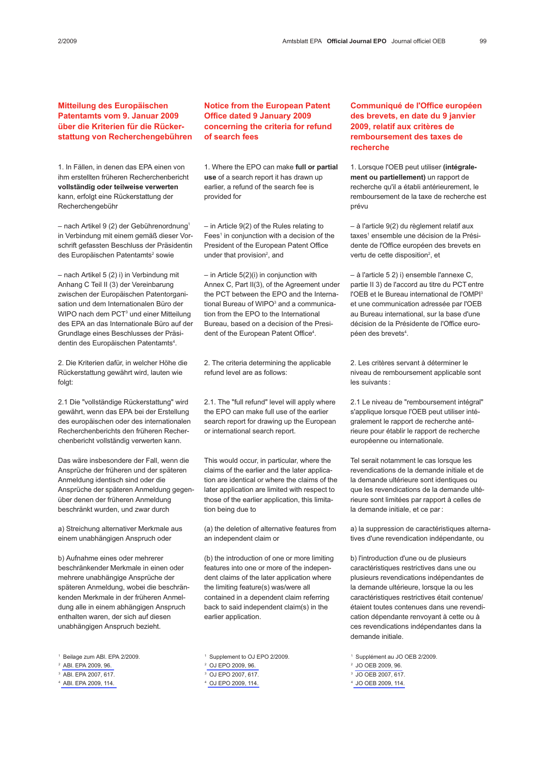## Mitteilung des Europäischen Patentamts vom 9. Januar 2009 über die Kriterien für die Rückerstattung von Recherchengebühren

1. In Fällen, in denen das EPA einen von ihm erstellten früheren Recherchenbericht vollständig oder teilweise verwerten kann, erfolgt eine Rückerstattung der Recherchengebühr

– nach Artikel 9 (2) der Gebührenordnung1 in Verbindung mit einem gemäß dieser Vorschrift gefassten Beschluss der Präsidentin des Europäischen Patentamts<sup>2</sup> sowie

– nach Artikel 5 (2) i) in Verbindung mit Anhang C Teil II (3) der Vereinbarung zwischen der Europäischen Patentorganisation und dem Internationalen Büro der WIPO nach dem PCT<sup>3</sup> und einer Mitteilung des EPA an das Internationale Büro auf der Grundlage eines Beschlusses der Präsidentin des Europäischen Patentamts<sup>4</sup>.

2. Die Kriterien dafür, in welcher Höhe die Rückerstattung gewährt wird, lauten wie folgt:

2.1 Die "vollständige Rückerstattung" wird gewährt, wenn das EPA bei der Erstellung des europäischen oder des internationalen Recherchenberichts den früheren Recherchenbericht vollständig verwerten kann.

Das wäre insbesondere der Fall, wenn die Ansprüche der früheren und der späteren Anmeldung identisch sind oder die Ansprüche der späteren Anmeldung gegenüber denen der früheren Anmeldung beschränkt wurden, und zwar durch

a) Streichung alternativer Merkmale aus einem unabhängigen Anspruch oder

b) Aufnahme eines oder mehrerer beschränkender Merkmale in einen oder mehrere unabhängige Ansprüche der späteren Anmeldung, wobei die beschränkenden Merkmale in der früheren Anmeldung alle in einem abhängigen Anspruch enthalten waren, der sich auf diesen unabhängigen Anspruch bezieht.

- <sup>2</sup> [ABl. EPA 2009, 96.](http://www.european-patent-office.org/epo/pubs/oj009/02_09/02_0969.pdf)
- <sup>3</sup> ABl. EPA 2007, 617.
- <sup>4</sup> [ABl. EPA 2009, 114.](http://www.european-patent-office.org/epo/pubs/oj009/02_09/02_1149.pdf)

Notice from the European Patent Office dated 9 January 2009 concerning the criteria for refund of search fees

1. Where the EPO can make full or partial use of a search report it has drawn up earlier, a refund of the search fee is provided for

– in Article 9(2) of the Rules relating to Fees<sup>1</sup> in conjunction with a decision of the President of the European Patent Office under that provision<sup>2</sup>, and

– in Article 5(2)(i) in conjunction with Annex C, Part II(3), of the Agreement under the PCT between the EPO and the International Bureau of WIPO<sup>3</sup> and a communication from the EPO to the International Bureau, based on a decision of the President of the European Patent Office<sup>4</sup>.

2. The criteria determining the applicable refund level are as follows:

2.1. The "full refund" level will apply where the EPO can make full use of the earlier search report for drawing up the European or international search report.

This would occur, in particular, where the claims of the earlier and the later application are identical or where the claims of the later application are limited with respect to those of the earlier application, this limitation being due to

(a) the deletion of alternative features from an independent claim or

(b) the introduction of one or more limiting features into one or more of the independent claims of the later application where the limiting feature(s) was/were all contained in a dependent claim referring back to said independent claim(s) in the earlier application.

<sup>4</sup> [OJ EPO 2009, 114.](http://www.european-patent-office.org/epo/pubs/oj009/02_09/02_1149.pdf)

## Communiqué de l'Office européen des brevets, en date du 9 janvier 2009, relatif aux critères de remboursement des taxes de recherche

1. Lorsque l'OEB peut utiliser (intégralement ou partiellement) un rapport de recherche qu'il a établi antérieurement, le remboursement de la taxe de recherche est prévu

– à l'article 9(2) du règlement relatif aux taxes<sup>1</sup> ensemble une décision de la Présidente de l'Office européen des brevets en vertu de cette disposition<sup>2</sup>, et

– à l'article 5 2) i) ensemble l'annexe C, partie II 3) de l'accord au titre du PCT entre l'OEB et le Bureau international de l'OMPI3 et une communication adressée par l'OEB au Bureau international, sur la base d'une décision de la Présidente de l'Office européen des brevets<sup>4</sup>.

2. Les critères servant à déterminer le niveau de remboursement applicable sont les suivants :

2.1 Le niveau de "remboursement intégral" s'applique lorsque l'OEB peut utiliser intégralement le rapport de recherche antérieure pour établir le rapport de recherche européenne ou internationale.

Tel serait notamment le cas lorsque les revendications de la demande initiale et de la demande ultérieure sont identiques ou que les revendications de la demande ultérieure sont limitées par rapport à celles de la demande initiale, et ce par :

a) la suppression de caractéristiques alternatives d'une revendication indépendante, ou

b) l'introduction d'une ou de plusieurs caractéristiques restrictives dans une ou plusieurs revendications indépendantes de la demande ultérieure, lorsque la ou les caractéristiques restrictives était contenue/ étaient toutes contenues dans une revendication dépendante renvoyant à cette ou à ces revendications indépendantes dans la demande initiale.

<sup>1</sup> Supplément au JO OEB 2/2009.

- <sup>2</sup> [JO OEB 2009, 96.](http://www.european-patent-office.org/epo/pubs/oj009/02_09/02_0969.pdf)
- <sup>3</sup> JO OEB 2007, 617.
- <sup>4</sup> [JO OEB 2009, 114.](http://www.european-patent-office.org/epo/pubs/oj009/02_09/02_1149.pdf)

<sup>1</sup> Beilage zum ABl. EPA 2/2009.

<sup>1</sup> Supplement to OJ EPO 2/2009.

<sup>2</sup> [OJ EPO 2009, 96.](http://www.european-patent-office.org/epo/pubs/oj009/02_09/02_0969.pdf)

<sup>3</sup> OJ EPO 2007, 617.